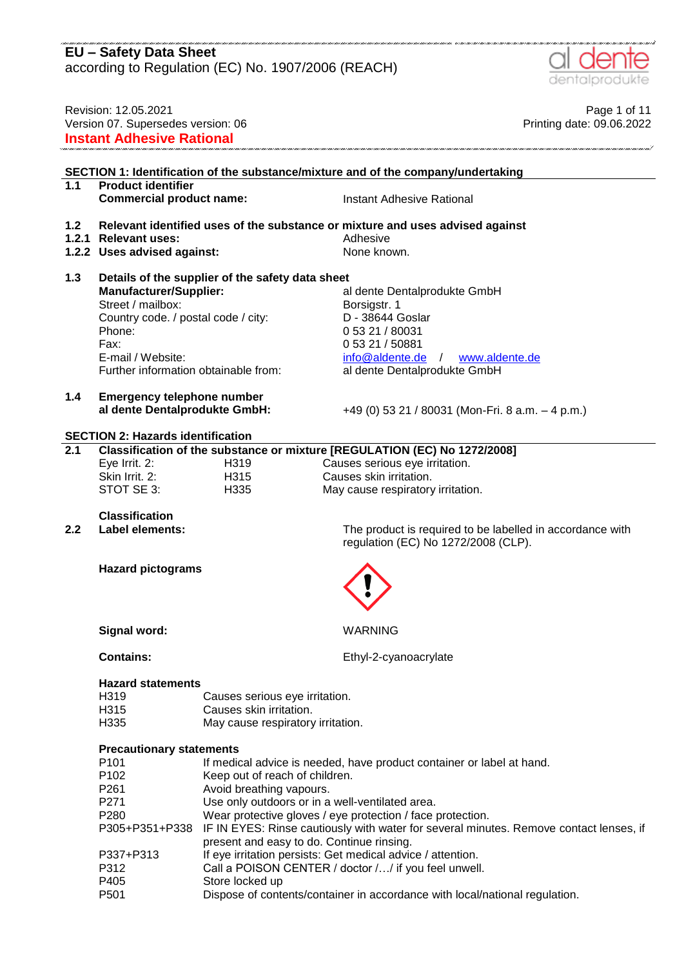according to Regulation (EC) No. 1907/2006 (REACH)



Revision: 12.05.2021 **Page 1 of 11** Page 1 of 11 Version 07. Supersedes version: 06 Printing date: 09.06.2022 **Instant Adhesive Rational**

### **SECTION 1: Identification of the substance/mixture and of the company/undertaking**

**1.1 Product identifier Commercial product name:** Instant Adhesive Rational

- **1.2 Relevant identified uses of the substance or mixture and uses advised against**
- **1.2.1 Relevant uses:** Adhesive
- **1.2.2 Uses advised against:** None known.

#### **1.3 Details of the supplier of the safety data sheet** al dente Dentalprodukte GmbH<br>Borsigstr. 1 Street / mailbox: Borsigstr. 1<br>Country code. / postal code / city: D - 38644 Goslar Country code. / postal code / city: Phone: 0 53 21 / 80031 Fax: E-mail / Website: 0 53 21 / 50881 [info@aldente.de](mailto:info@aldente.de) / [www.aldente.de](http://www.aldente.de/) Further information obtainable from: al dente Dentalprodukte GmbH

# **1.4 Emergency telephone number**

**al dente Dentalprodukte GmbH:** +49 (0) 53 21 / 80031 (Mon-Fri. 8 a.m. – 4 p.m.)

### **SECTION 2: Hazards identification**

**2.1 Classification of the substance or mixture [REGULATION (EC) No 1272/2008]** Eye Irrit. 2: Fig. 19 Exercise Serious eye irritation.<br>
Skin Irrit. 2: H315 Causes skin irritation. H315 Causes skin irritation. STOT SE 3: H335 May cause respiratory irritation.

# **Classification**

**2.2 Label elements:** The product is required to be labelled in accordance with regulation (EC) No 1272/2008 (CLP).



Signal word: WARNING

**Contains:** Ethyl-2-cyanoacrylate

### **Hazard statements**

**Hazard pictograms**

| H <sub>319</sub> | Causes serious eye irritation.    |
|------------------|-----------------------------------|
| H315             | Causes skin irritation.           |
| H335             | May cause respiratory irritation. |

### **Precautionary statements**

| If medical advice is needed, have product container or label at hand.                                                                              |
|----------------------------------------------------------------------------------------------------------------------------------------------------|
| Keep out of reach of children.                                                                                                                     |
| Avoid breathing vapours.                                                                                                                           |
| Use only outdoors or in a well-ventilated area.                                                                                                    |
| Wear protective gloves / eye protection / face protection.                                                                                         |
| P305+P351+P338 IF IN EYES: Rinse cautiously with water for several minutes. Remove contact lenses, if<br>present and easy to do. Continue rinsing. |
| If eye irritation persists: Get medical advice / attention.                                                                                        |
| Call a POISON CENTER / doctor // if you feel unwell.                                                                                               |
| Store locked up                                                                                                                                    |
| Dispose of contents/container in accordance with local/national regulation.                                                                        |
|                                                                                                                                                    |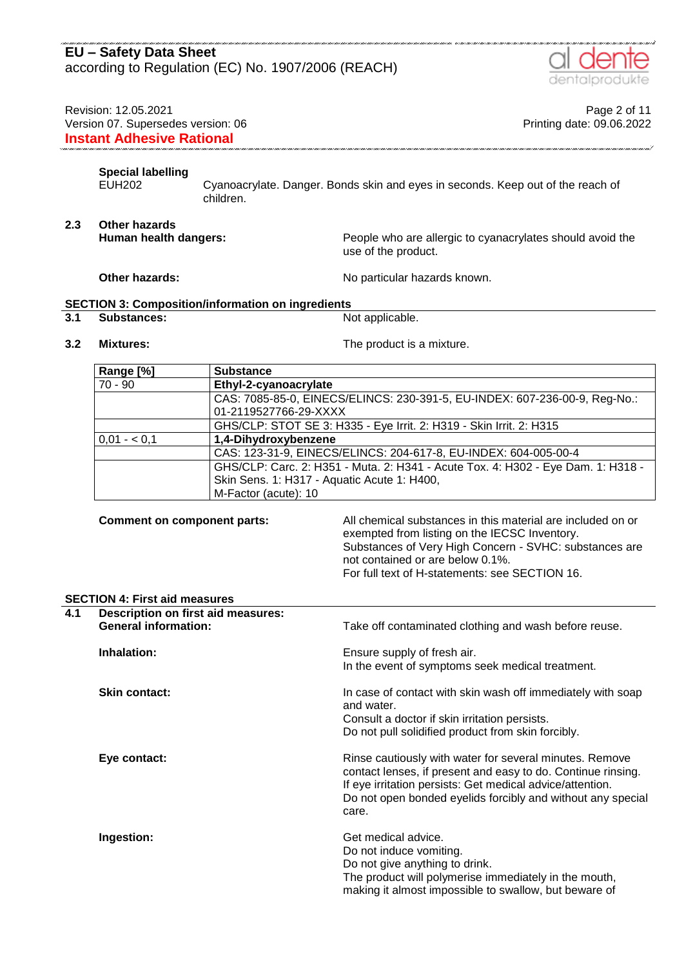# according to Regulation (EC) No. 1907/2006 (REACH) Revision: 12.05.2021 Page 2 of 11 Version 07. Supersedes version: 06 Printing date: 09.06.2022 **Instant Adhesive Rational Special labelling** Cyanoacrylate. Danger. Bonds skin and eyes in seconds. Keep out of the reach of children. **2.3 Other hazards Human health dangers:** People who are allergic to cyanacrylates should avoid the use of the product. **Other hazards:** No particular hazards known. **SECTION 3: Composition/information on ingredients 3.1 Substances:** Not applicable. **3.2 Mixtures:** The product is a mixture. **Range [%] Substance** 70 - 90 **Ethyl-2-cyanoacrylate** CAS: 7085-85-0, EINECS/ELINCS: 230-391-5, EU-INDEX: 607-236-00-9, Reg-No.: 01-2119527766-29-XXXX GHS/CLP: STOT SE 3: H335 - Eye Irrit. 2: H319 - Skin Irrit. 2: H315 0,01 - < 0,1 **1,4-Dihydroxybenzene** CAS: 123-31-9, EINECS/ELINCS: 204-617-8, EU-INDEX: 604-005-00-4 GHS/CLP: Carc. 2: H351 - Muta. 2: H341 - Acute Tox. 4: H302 - Eye Dam. 1: H318 - Skin Sens. 1: H317 - Aquatic Acute 1: H400, M-Factor (acute): 10 **Comment on component parts:** All chemical substances in this material are included on or exempted from listing on the IECSC Inventory. Substances of Very High Concern - SVHC: substances are not contained or are below 0.1%. For full text of H-statements: see SECTION 16. **SECTION 4: First aid measures 4.1 Description on first aid measures:** Take off contaminated clothing and wash before reuse. **Inhalation:** Ensure supply of fresh air. In the event of symptoms seek medical treatment. **Skin contact:** In case of contact with skin wash off immediately with soap and water. Consult a doctor if skin irritation persists. Do not pull solidified product from skin forcibly. **Eye contact: Ringe contact:** Rinse cautiously with water for several minutes. Remove contact lenses, if present and easy to do. Continue rinsing. If eye irritation persists: Get medical advice/attention. Do not open bonded eyelids forcibly and without any special care. **Ingestion:** Get medical advice. Do not induce vomiting. Do not give anything to drink. The product will polymerise immediately in the mouth, making it almost impossible to swallow, but beware of

**EU – Safety Data Sheet**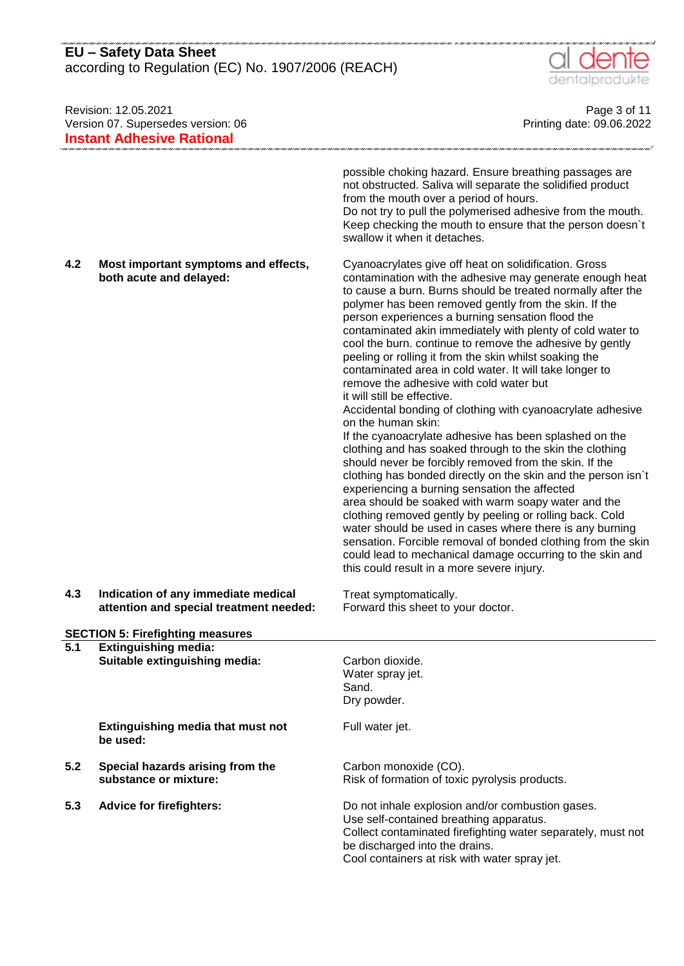according to Regulation (EC) No. 1907/2006 (REACH)



|     | Revision: 12.05.2021<br>Version 07. Supersedes version: 06<br><b>Instant Adhesive Rational</b> | Page 3 of 11<br>Printing date: 09.06.2022                                                                                                                                                                                                                                                                                                                                                                                                                                                                                                                                                                                                                                                                                                                                                                                                                                                                                                                                                                                                                                                                                                                                                                                                                                                                                                                              |
|-----|------------------------------------------------------------------------------------------------|------------------------------------------------------------------------------------------------------------------------------------------------------------------------------------------------------------------------------------------------------------------------------------------------------------------------------------------------------------------------------------------------------------------------------------------------------------------------------------------------------------------------------------------------------------------------------------------------------------------------------------------------------------------------------------------------------------------------------------------------------------------------------------------------------------------------------------------------------------------------------------------------------------------------------------------------------------------------------------------------------------------------------------------------------------------------------------------------------------------------------------------------------------------------------------------------------------------------------------------------------------------------------------------------------------------------------------------------------------------------|
|     |                                                                                                | possible choking hazard. Ensure breathing passages are<br>not obstructed. Saliva will separate the solidified product<br>from the mouth over a period of hours.<br>Do not try to pull the polymerised adhesive from the mouth.<br>Keep checking the mouth to ensure that the person doesn't<br>swallow it when it detaches.                                                                                                                                                                                                                                                                                                                                                                                                                                                                                                                                                                                                                                                                                                                                                                                                                                                                                                                                                                                                                                            |
| 4.2 | Most important symptoms and effects,<br>both acute and delayed:                                | Cyanoacrylates give off heat on solidification. Gross<br>contamination with the adhesive may generate enough heat<br>to cause a burn. Burns should be treated normally after the<br>polymer has been removed gently from the skin. If the<br>person experiences a burning sensation flood the<br>contaminated akin immediately with plenty of cold water to<br>cool the burn. continue to remove the adhesive by gently<br>peeling or rolling it from the skin whilst soaking the<br>contaminated area in cold water. It will take longer to<br>remove the adhesive with cold water but<br>it will still be effective.<br>Accidental bonding of clothing with cyanoacrylate adhesive<br>on the human skin:<br>If the cyanoacrylate adhesive has been splashed on the<br>clothing and has soaked through to the skin the clothing<br>should never be forcibly removed from the skin. If the<br>clothing has bonded directly on the skin and the person isn't<br>experiencing a burning sensation the affected<br>area should be soaked with warm soapy water and the<br>clothing removed gently by peeling or rolling back. Cold<br>water should be used in cases where there is any burning<br>sensation. Forcible removal of bonded clothing from the skin<br>could lead to mechanical damage occurring to the skin and<br>this could result in a more severe injury. |
| 4.3 | Indication of any immediate medical<br>attention and special treatment needed:                 | Treat symptomatically.<br>Forward this sheet to your doctor.                                                                                                                                                                                                                                                                                                                                                                                                                                                                                                                                                                                                                                                                                                                                                                                                                                                                                                                                                                                                                                                                                                                                                                                                                                                                                                           |
|     | <b>SECTION 5: Firefighting measures</b>                                                        |                                                                                                                                                                                                                                                                                                                                                                                                                                                                                                                                                                                                                                                                                                                                                                                                                                                                                                                                                                                                                                                                                                                                                                                                                                                                                                                                                                        |
| 5.1 | <b>Extinguishing media:</b><br>Suitable extinguishing media:                                   | Carbon dioxide.<br>Water spray jet.<br>Sand.<br>Dry powder.                                                                                                                                                                                                                                                                                                                                                                                                                                                                                                                                                                                                                                                                                                                                                                                                                                                                                                                                                                                                                                                                                                                                                                                                                                                                                                            |
|     | Extinguishing media that must not<br>be used:                                                  | Full water jet.                                                                                                                                                                                                                                                                                                                                                                                                                                                                                                                                                                                                                                                                                                                                                                                                                                                                                                                                                                                                                                                                                                                                                                                                                                                                                                                                                        |
| 5.2 | Special hazards arising from the<br>substance or mixture:                                      | Carbon monoxide (CO).<br>Risk of formation of toxic pyrolysis products.                                                                                                                                                                                                                                                                                                                                                                                                                                                                                                                                                                                                                                                                                                                                                                                                                                                                                                                                                                                                                                                                                                                                                                                                                                                                                                |
| 5.3 | <b>Advice for firefighters:</b>                                                                | Do not inhale explosion and/or combustion gases.<br>Use self-contained breathing apparatus.<br>Collect contaminated firefighting water separately, must not<br>be discharged into the drains.<br>Cool containers at risk with water spray jet.                                                                                                                                                                                                                                                                                                                                                                                                                                                                                                                                                                                                                                                                                                                                                                                                                                                                                                                                                                                                                                                                                                                         |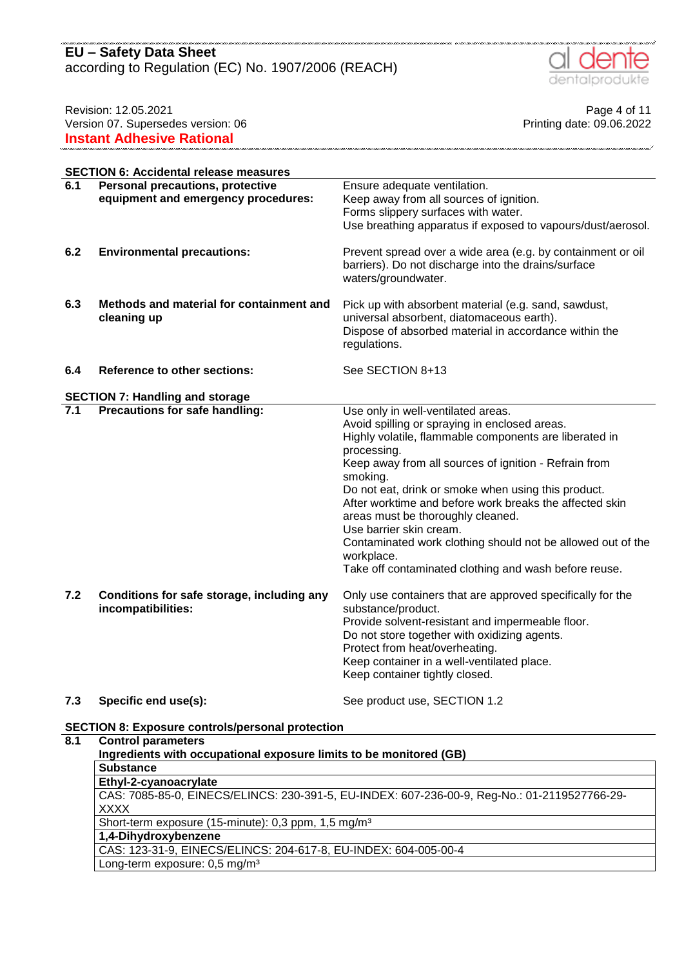#### .<br>CONSTRUCTION CONSTRUCTION CONSTRUCTION CONSTRUCTION CONSTRUCTION CONSTRUCTION CONSTRUCTION CONSTRUCTION CONSTRUCTION CONSTRUCTION CONSTRUCTION CONSTRUCTION CONSTRUCTION (DEL CONSTRUCTION) **EU – Safety Data Sheet** according to Regulation (EC) No. 1907/2006 (REACH)



Page 4 of 11<br>Page 4 of 11<br>Printing date: 09.06.2022<br>Printing date: 09.06.2022 Version 07. Supersedes version: 06 **Instant Adhesive Rational**

.<br>אז הווג בסוס. בסוג בסוג הווג בסוג בסוג בסוג בסוג בסוג בסוג הווג בסוג הווג באוגר. בסוג בסוג הווג ה

| <b>SECTION 6: Accidental release measures</b> |                                                                         |                                                                                                                                                                                                                                                                                                                                                                                                                                                                                                                                                           |  |
|-----------------------------------------------|-------------------------------------------------------------------------|-----------------------------------------------------------------------------------------------------------------------------------------------------------------------------------------------------------------------------------------------------------------------------------------------------------------------------------------------------------------------------------------------------------------------------------------------------------------------------------------------------------------------------------------------------------|--|
| 6.1                                           | Personal precautions, protective<br>equipment and emergency procedures: | Ensure adequate ventilation.<br>Keep away from all sources of ignition.<br>Forms slippery surfaces with water.<br>Use breathing apparatus if exposed to vapours/dust/aerosol.                                                                                                                                                                                                                                                                                                                                                                             |  |
| 6.2                                           | <b>Environmental precautions:</b>                                       | Prevent spread over a wide area (e.g. by containment or oil<br>barriers). Do not discharge into the drains/surface<br>waters/groundwater.                                                                                                                                                                                                                                                                                                                                                                                                                 |  |
| 6.3                                           | Methods and material for containment and<br>cleaning up                 | Pick up with absorbent material (e.g. sand, sawdust,<br>universal absorbent, diatomaceous earth).<br>Dispose of absorbed material in accordance within the<br>regulations.                                                                                                                                                                                                                                                                                                                                                                                |  |
| 6.4                                           | <b>Reference to other sections:</b>                                     | See SECTION 8+13                                                                                                                                                                                                                                                                                                                                                                                                                                                                                                                                          |  |
|                                               | <b>SECTION 7: Handling and storage</b>                                  |                                                                                                                                                                                                                                                                                                                                                                                                                                                                                                                                                           |  |
| 7.1                                           | Precautions for safe handling:                                          | Use only in well-ventilated areas.<br>Avoid spilling or spraying in enclosed areas.<br>Highly volatile, flammable components are liberated in<br>processing.<br>Keep away from all sources of ignition - Refrain from<br>smoking.<br>Do not eat, drink or smoke when using this product.<br>After worktime and before work breaks the affected skin<br>areas must be thoroughly cleaned.<br>Use barrier skin cream.<br>Contaminated work clothing should not be allowed out of the<br>workplace.<br>Take off contaminated clothing and wash before reuse. |  |
| 7.2                                           | Conditions for safe storage, including any<br>incompatibilities:        | Only use containers that are approved specifically for the<br>substance/product.<br>Provide solvent-resistant and impermeable floor.<br>Do not store together with oxidizing agents.<br>Protect from heat/overheating.<br>Keep container in a well-ventilated place.<br>Keep container tightly closed.                                                                                                                                                                                                                                                    |  |
| 7.3                                           | Specific end use(s):                                                    | See product use, SECTION 1.2                                                                                                                                                                                                                                                                                                                                                                                                                                                                                                                              |  |

## **SECTION 8: Exposure controls/personal protection**

| 8.1 | <b>Control parameters</b>                                                                    |
|-----|----------------------------------------------------------------------------------------------|
|     | Ingredients with occupational exposure limits to be monitored (GB)                           |
|     | <b>Substance</b>                                                                             |
|     | Ethyl-2-cyanoacrylate                                                                        |
|     | CAS: 7085-85-0, EINECS/ELINCS: 230-391-5, EU-INDEX: 607-236-00-9, Reg-No.: 01-2119527766-29- |
|     | <b>XXXX</b>                                                                                  |
|     | Short-term exposure (15-minute): 0,3 ppm, 1,5 mg/m <sup>3</sup>                              |
|     | 1,4-Dihydroxybenzene                                                                         |
|     | CAS: 123-31-9, EINECS/ELINCS: 204-617-8, EU-INDEX: 604-005-00-4                              |
|     | Long-term exposure: 0,5 mg/m <sup>3</sup>                                                    |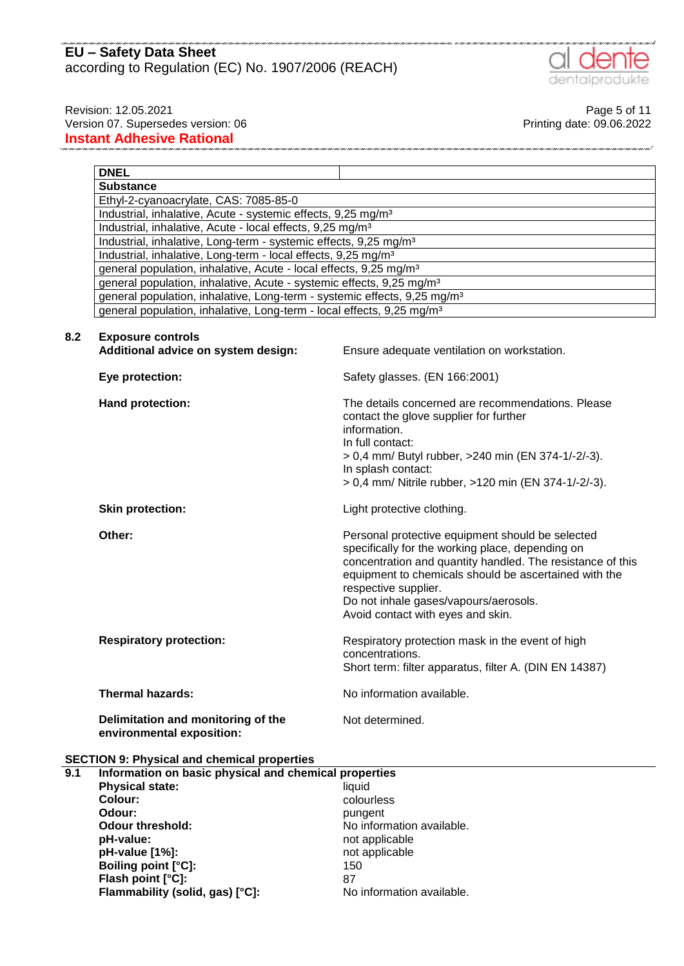

.<br>I serie a serie a serie a serie a serie a serie a serie a serie a serie a serie

Page 5 of 11<br>Page 5 of 11<br>Printing date: 09.06.2022 Printing date: 09.06.2022 Version 07. Supersedes version: 06 **Instant Adhesive Rational**

**8.2 Exposure controls**

| <b>DNEL</b>                                                                          |                                                                                                                                                                                                                                                                                                                                   |  |
|--------------------------------------------------------------------------------------|-----------------------------------------------------------------------------------------------------------------------------------------------------------------------------------------------------------------------------------------------------------------------------------------------------------------------------------|--|
| <b>Substance</b>                                                                     |                                                                                                                                                                                                                                                                                                                                   |  |
| Ethyl-2-cyanoacrylate, CAS: 7085-85-0                                                |                                                                                                                                                                                                                                                                                                                                   |  |
| Industrial, inhalative, Acute - systemic effects, 9,25 mg/m <sup>3</sup>             |                                                                                                                                                                                                                                                                                                                                   |  |
| Industrial, inhalative, Acute - local effects, 9,25 mg/m <sup>3</sup>                |                                                                                                                                                                                                                                                                                                                                   |  |
| Industrial, inhalative, Long-term - systemic effects, 9,25 mg/m <sup>3</sup>         |                                                                                                                                                                                                                                                                                                                                   |  |
| Industrial, inhalative, Long-term - local effects, 9,25 mg/m <sup>3</sup>            |                                                                                                                                                                                                                                                                                                                                   |  |
| general population, inhalative, Acute - local effects, 9,25 mg/m <sup>3</sup>        |                                                                                                                                                                                                                                                                                                                                   |  |
| general population, inhalative, Acute - systemic effects, 9,25 mg/m <sup>3</sup>     |                                                                                                                                                                                                                                                                                                                                   |  |
| general population, inhalative, Long-term - systemic effects, 9,25 mg/m <sup>3</sup> |                                                                                                                                                                                                                                                                                                                                   |  |
| general population, inhalative, Long-term - local effects, 9,25 mg/m <sup>3</sup>    |                                                                                                                                                                                                                                                                                                                                   |  |
| <b>Exposure controls</b><br>Additional advice on system design:                      | Ensure adequate ventilation on workstation.                                                                                                                                                                                                                                                                                       |  |
| Eye protection:                                                                      | Safety glasses. (EN 166:2001)                                                                                                                                                                                                                                                                                                     |  |
| Hand protection:                                                                     | The details concerned are recommendations. Please<br>contact the glove supplier for further<br>information.<br>In full contact:<br>> 0,4 mm/ Butyl rubber, >240 min (EN 374-1/-2/-3).<br>In splash contact:<br>> 0,4 mm/ Nitrile rubber, >120 min (EN 374-1/-2/-3).                                                               |  |
| <b>Skin protection:</b>                                                              | Light protective clothing.                                                                                                                                                                                                                                                                                                        |  |
| Other:                                                                               | Personal protective equipment should be selected<br>specifically for the working place, depending on<br>concentration and quantity handled. The resistance of this<br>equipment to chemicals should be ascertained with the<br>respective supplier.<br>Do not inhale gases/vapours/aerosols.<br>Avoid contact with eyes and skin. |  |
| <b>Respiratory protection:</b>                                                       | Respiratory protection mask in the event of high<br>concentrations.<br>Short term: filter apparatus, filter A. (DIN EN 14387)                                                                                                                                                                                                     |  |
| <b>Thermal hazards:</b>                                                              | No information available.                                                                                                                                                                                                                                                                                                         |  |
| Delimitation and monitoring of the<br>environmental exposition:                      | Not determined.                                                                                                                                                                                                                                                                                                                   |  |

.<br>1991 - 1991 - 1991 - 1992 - 1993 - 1993 - 1994 - 1994 - 1994 - 1994 - 1994 - 1994 - 1994 - 1994

# **SECTION 9: Physical and chemical properties**

| 9.1 | Information on basic physical and chemical properties |                           |
|-----|-------------------------------------------------------|---------------------------|
|     | <b>Physical state:</b>                                | liquid                    |
|     | Colour:                                               | colourless                |
|     | Odour:                                                | pungent                   |
|     | <b>Odour threshold:</b>                               | No information available. |
|     | pH-value:                                             | not applicable            |
|     | pH-value [1%]:                                        | not applicable            |
|     | <b>Boiling point [°C]:</b>                            | 150                       |
|     | Flash point [°C]:                                     | 87                        |
|     | Flammability (solid, gas) [°C]:                       | No information available. |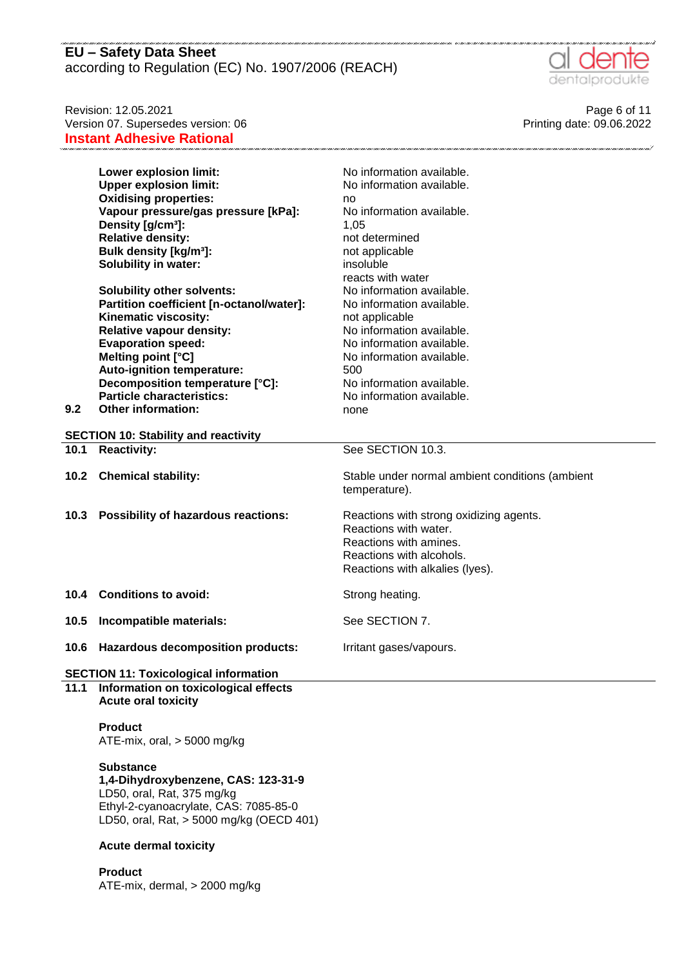according to Regulation (EC) No. 1907/2006 (REACH)



Version 07. Supersedes version: 06 Printing date: 09.06.2022 **Instant Adhesive Rational**

| Revision: 12.05.2021               | Page 6 of 11              |
|------------------------------------|---------------------------|
| Version 07. Supersedes version: 06 | Printing date: 09.06.2022 |

| 9.2  | Lower explosion limit:<br><b>Upper explosion limit:</b><br><b>Oxidising properties:</b><br>Vapour pressure/gas pressure [kPa]:<br>Density [g/cm <sup>3</sup> ]:<br><b>Relative density:</b><br>Bulk density [kg/m <sup>3</sup> ]:<br><b>Solubility in water:</b><br><b>Solubility other solvents:</b><br>Partition coefficient [n-octanol/water]:<br>Kinematic viscosity:<br><b>Relative vapour density:</b><br><b>Evaporation speed:</b><br>Melting point [°C]<br>Auto-ignition temperature:<br>Decomposition temperature [°C]:<br><b>Particle characteristics:</b><br>Other information: | No information available.<br>No information available.<br>no<br>No information available.<br>1,05<br>not determined<br>not applicable<br>insoluble<br>reacts with water<br>No information available.<br>No information available.<br>not applicable<br>No information available.<br>No information available.<br>No information available.<br>500<br>No information available.<br>No information available.<br>none |
|------|--------------------------------------------------------------------------------------------------------------------------------------------------------------------------------------------------------------------------------------------------------------------------------------------------------------------------------------------------------------------------------------------------------------------------------------------------------------------------------------------------------------------------------------------------------------------------------------------|---------------------------------------------------------------------------------------------------------------------------------------------------------------------------------------------------------------------------------------------------------------------------------------------------------------------------------------------------------------------------------------------------------------------|
| 10.1 | <b>SECTION 10: Stability and reactivity</b><br><b>Reactivity:</b>                                                                                                                                                                                                                                                                                                                                                                                                                                                                                                                          | See SECTION 10.3.                                                                                                                                                                                                                                                                                                                                                                                                   |
| 10.2 | <b>Chemical stability:</b>                                                                                                                                                                                                                                                                                                                                                                                                                                                                                                                                                                 | Stable under normal ambient conditions (ambient<br>temperature).                                                                                                                                                                                                                                                                                                                                                    |
| 10.3 | <b>Possibility of hazardous reactions:</b>                                                                                                                                                                                                                                                                                                                                                                                                                                                                                                                                                 | Reactions with strong oxidizing agents.<br>Reactions with water.<br>Reactions with amines.<br>Reactions with alcohols.<br>Reactions with alkalies (lyes).                                                                                                                                                                                                                                                           |
|      | 10.4 Conditions to avoid:                                                                                                                                                                                                                                                                                                                                                                                                                                                                                                                                                                  | Strong heating.                                                                                                                                                                                                                                                                                                                                                                                                     |
| 10.5 | Incompatible materials:                                                                                                                                                                                                                                                                                                                                                                                                                                                                                                                                                                    | See SECTION 7.                                                                                                                                                                                                                                                                                                                                                                                                      |
| 10.6 | <b>Hazardous decomposition products:</b>                                                                                                                                                                                                                                                                                                                                                                                                                                                                                                                                                   | Irritant gases/vapours.                                                                                                                                                                                                                                                                                                                                                                                             |

#### **SECTION 11: Toxicological information**

**11.1 Information on toxicological effects Acute oral toxicity**

> **Product** ATE-mix, oral, > 5000 mg/kg

### **Substance**

**1,4-Dihydroxybenzene, CAS: 123-31-9** LD50, oral, Rat, 375 mg/kg Ethyl-2-cyanoacrylate, CAS: 7085-85-0 LD50, oral, Rat, > 5000 mg/kg (OECD 401)

#### **Acute dermal toxicity**

**Product** ATE-mix, dermal, > 2000 mg/kg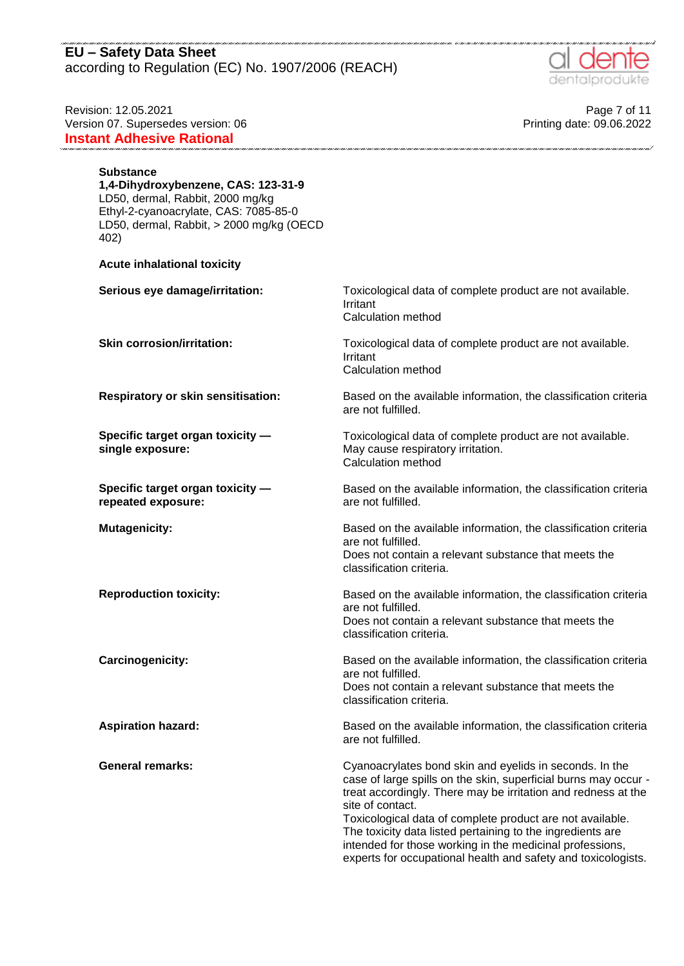according to Regulation (EC) No. 1907/2006 (REACH)



Page 7 of 11<br>Page 7 of 11<br>Printing date: 09.06.2022<br>Printing date: 09.06.2022 Version 07. Supersedes version: 06 **Instant Adhesive Rational**

#### **Substance**

**1,4-Dihydroxybenzene, CAS: 123-31-9** LD50, dermal, Rabbit, 2000 mg/kg Ethyl-2-cyanoacrylate, CAS: 7085-85-0 LD50, dermal, Rabbit, > 2000 mg/kg (OECD 402)

### **Acute inhalational toxicity**

| Serious eye damage/irritation:                         | Toxicological data of complete product are not available.<br>Irritant<br>Calculation method                                                                                                                                                                                                                                                                                                                                                                             |
|--------------------------------------------------------|-------------------------------------------------------------------------------------------------------------------------------------------------------------------------------------------------------------------------------------------------------------------------------------------------------------------------------------------------------------------------------------------------------------------------------------------------------------------------|
| <b>Skin corrosion/irritation:</b>                      | Toxicological data of complete product are not available.<br>Irritant<br>Calculation method                                                                                                                                                                                                                                                                                                                                                                             |
| Respiratory or skin sensitisation:                     | Based on the available information, the classification criteria<br>are not fulfilled.                                                                                                                                                                                                                                                                                                                                                                                   |
| Specific target organ toxicity -<br>single exposure:   | Toxicological data of complete product are not available.<br>May cause respiratory irritation.<br>Calculation method                                                                                                                                                                                                                                                                                                                                                    |
| Specific target organ toxicity -<br>repeated exposure: | Based on the available information, the classification criteria<br>are not fulfilled.                                                                                                                                                                                                                                                                                                                                                                                   |
| <b>Mutagenicity:</b>                                   | Based on the available information, the classification criteria<br>are not fulfilled.<br>Does not contain a relevant substance that meets the<br>classification criteria.                                                                                                                                                                                                                                                                                               |
| <b>Reproduction toxicity:</b>                          | Based on the available information, the classification criteria<br>are not fulfilled.<br>Does not contain a relevant substance that meets the<br>classification criteria.                                                                                                                                                                                                                                                                                               |
| Carcinogenicity:                                       | Based on the available information, the classification criteria<br>are not fulfilled.<br>Does not contain a relevant substance that meets the<br>classification criteria.                                                                                                                                                                                                                                                                                               |
| <b>Aspiration hazard:</b>                              | Based on the available information, the classification criteria<br>are not fulfilled.                                                                                                                                                                                                                                                                                                                                                                                   |
| <b>General remarks:</b>                                | Cyanoacrylates bond skin and eyelids in seconds. In the<br>case of large spills on the skin, superficial burns may occur -<br>treat accordingly. There may be irritation and redness at the<br>site of contact.<br>Toxicological data of complete product are not available.<br>The toxicity data listed pertaining to the ingredients are<br>intended for those working in the medicinal professions,<br>experts for occupational health and safety and toxicologists. |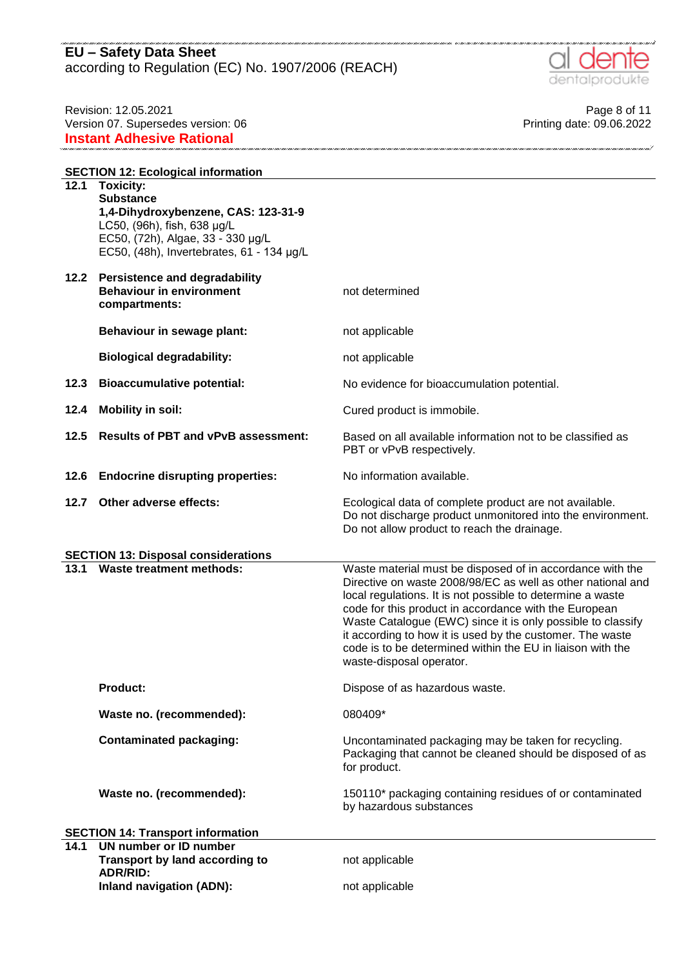

Page 8 of 11<br>Page 8 of 11<br>Printing date: 09.06.2022 Printing date: 09.06.2022 Version 07. Supersedes version: 06 **Instant Adhesive Rational**

.<br>2001 - 2002 - 2002 - 2002 - 2002 - 2002 - 2002 - 2002 - 2002 - 2002 - 20

|      | <b>SECTION 12: Ecological information</b>                                                                                                                                                    |                                                                                                                                                                                                                                                                                                                                                                                                                                                                       |  |
|------|----------------------------------------------------------------------------------------------------------------------------------------------------------------------------------------------|-----------------------------------------------------------------------------------------------------------------------------------------------------------------------------------------------------------------------------------------------------------------------------------------------------------------------------------------------------------------------------------------------------------------------------------------------------------------------|--|
| 12.1 | <b>Toxicity:</b><br><b>Substance</b><br>1,4-Dihydroxybenzene, CAS: 123-31-9<br>LC50, (96h), fish, 638 µg/L<br>EC50, (72h), Algae, 33 - 330 µg/L<br>EC50, (48h), Invertebrates, 61 - 134 µg/L |                                                                                                                                                                                                                                                                                                                                                                                                                                                                       |  |
| 12.2 | <b>Persistence and degradability</b><br><b>Behaviour in environment</b><br>compartments:                                                                                                     | not determined                                                                                                                                                                                                                                                                                                                                                                                                                                                        |  |
|      | Behaviour in sewage plant:                                                                                                                                                                   | not applicable                                                                                                                                                                                                                                                                                                                                                                                                                                                        |  |
|      | <b>Biological degradability:</b>                                                                                                                                                             | not applicable                                                                                                                                                                                                                                                                                                                                                                                                                                                        |  |
| 12.3 | <b>Bioaccumulative potential:</b>                                                                                                                                                            | No evidence for bioaccumulation potential.                                                                                                                                                                                                                                                                                                                                                                                                                            |  |
| 12.4 | <b>Mobility in soil:</b>                                                                                                                                                                     | Cured product is immobile.                                                                                                                                                                                                                                                                                                                                                                                                                                            |  |
| 12.5 | <b>Results of PBT and vPvB assessment:</b>                                                                                                                                                   | Based on all available information not to be classified as<br>PBT or vPvB respectively.                                                                                                                                                                                                                                                                                                                                                                               |  |
| 12.6 | <b>Endocrine disrupting properties:</b>                                                                                                                                                      | No information available.                                                                                                                                                                                                                                                                                                                                                                                                                                             |  |
| 12.7 | Other adverse effects:                                                                                                                                                                       | Ecological data of complete product are not available.<br>Do not discharge product unmonitored into the environment.<br>Do not allow product to reach the drainage.                                                                                                                                                                                                                                                                                                   |  |
|      |                                                                                                                                                                                              |                                                                                                                                                                                                                                                                                                                                                                                                                                                                       |  |
|      |                                                                                                                                                                                              |                                                                                                                                                                                                                                                                                                                                                                                                                                                                       |  |
| 13.1 | <b>SECTION 13: Disposal considerations</b><br>Waste treatment methods:                                                                                                                       | Waste material must be disposed of in accordance with the<br>Directive on waste 2008/98/EC as well as other national and<br>local regulations. It is not possible to determine a waste<br>code for this product in accordance with the European<br>Waste Catalogue (EWC) since it is only possible to classify<br>it according to how it is used by the customer. The waste<br>code is to be determined within the EU in liaison with the<br>waste-disposal operator. |  |
|      | <b>Product:</b>                                                                                                                                                                              | Dispose of as hazardous waste.                                                                                                                                                                                                                                                                                                                                                                                                                                        |  |
|      | Waste no. (recommended):                                                                                                                                                                     | 080409*                                                                                                                                                                                                                                                                                                                                                                                                                                                               |  |
|      | <b>Contaminated packaging:</b>                                                                                                                                                               | Uncontaminated packaging may be taken for recycling.<br>Packaging that cannot be cleaned should be disposed of as<br>for product.                                                                                                                                                                                                                                                                                                                                     |  |
|      | Waste no. (recommended):                                                                                                                                                                     | 150110* packaging containing residues of or contaminated<br>by hazardous substances                                                                                                                                                                                                                                                                                                                                                                                   |  |
|      | <b>SECTION 14: Transport information</b>                                                                                                                                                     |                                                                                                                                                                                                                                                                                                                                                                                                                                                                       |  |
| 14.1 | UN number or ID number<br>Transport by land according to<br><b>ADR/RID:</b>                                                                                                                  | not applicable                                                                                                                                                                                                                                                                                                                                                                                                                                                        |  |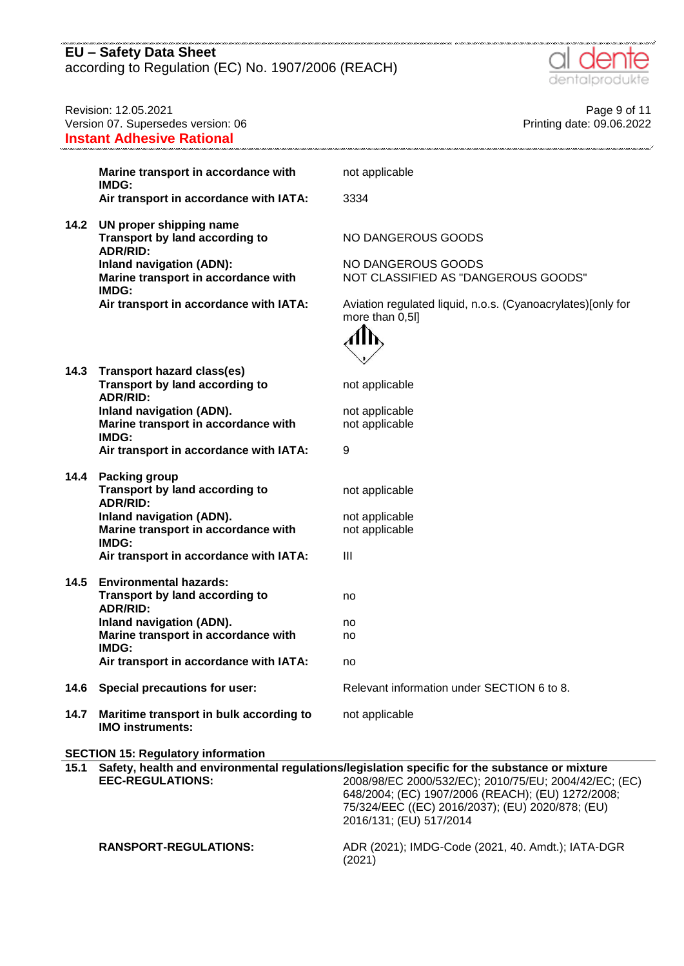according to Regulation (EC) No. 1907/2006 (REACH)



| Revision: 12.05.2021<br>Version 07. Supersedes version: 06<br><b>Instant Adhesive Rational</b> |                                                                                           | Page 9 of 11<br>Printing date: 09.06.2022                                                                                                                                                                                                                                                   |
|------------------------------------------------------------------------------------------------|-------------------------------------------------------------------------------------------|---------------------------------------------------------------------------------------------------------------------------------------------------------------------------------------------------------------------------------------------------------------------------------------------|
|                                                                                                | Marine transport in accordance with<br>IMDG:                                              | not applicable                                                                                                                                                                                                                                                                              |
|                                                                                                | Air transport in accordance with IATA:                                                    | 3334                                                                                                                                                                                                                                                                                        |
|                                                                                                | 14.2 UN proper shipping name<br><b>Transport by land according to</b><br><b>ADR/RID:</b>  | NO DANGEROUS GOODS                                                                                                                                                                                                                                                                          |
|                                                                                                | <b>Inland navigation (ADN):</b><br>Marine transport in accordance with<br>IMDG:           | NO DANGEROUS GOODS<br>NOT CLASSIFIED AS "DANGEROUS GOODS"                                                                                                                                                                                                                                   |
|                                                                                                | Air transport in accordance with IATA:                                                    | Aviation regulated liquid, n.o.s. (Cyanoacrylates)[only for<br>more than 0,5l]                                                                                                                                                                                                              |
|                                                                                                |                                                                                           |                                                                                                                                                                                                                                                                                             |
| 14.3                                                                                           | <b>Transport hazard class(es)</b>                                                         |                                                                                                                                                                                                                                                                                             |
|                                                                                                | <b>Transport by land according to</b><br><b>ADR/RID:</b>                                  | not applicable                                                                                                                                                                                                                                                                              |
|                                                                                                | <b>Inland navigation (ADN).</b><br>Marine transport in accordance with<br>IMDG:           | not applicable<br>not applicable                                                                                                                                                                                                                                                            |
|                                                                                                | Air transport in accordance with IATA:                                                    | 9                                                                                                                                                                                                                                                                                           |
|                                                                                                | 14.4 Packing group<br><b>Transport by land according to</b><br><b>ADR/RID:</b>            | not applicable                                                                                                                                                                                                                                                                              |
|                                                                                                | <b>Inland navigation (ADN).</b><br>Marine transport in accordance with<br>IMDG:           | not applicable<br>not applicable                                                                                                                                                                                                                                                            |
|                                                                                                | Air transport in accordance with IATA:                                                    | Ш                                                                                                                                                                                                                                                                                           |
| 14.5                                                                                           | <b>Environmental hazards:</b><br><b>Transport by land according to</b><br><b>ADR/RID:</b> | no                                                                                                                                                                                                                                                                                          |
|                                                                                                | <b>Inland navigation (ADN).</b><br>Marine transport in accordance with<br>IMDG:           | no<br>no                                                                                                                                                                                                                                                                                    |
|                                                                                                | Air transport in accordance with IATA:                                                    | no                                                                                                                                                                                                                                                                                          |
| 14.6                                                                                           | Special precautions for user:                                                             | Relevant information under SECTION 6 to 8.                                                                                                                                                                                                                                                  |
| 14.7                                                                                           | Maritime transport in bulk according to<br><b>IMO instruments:</b>                        | not applicable                                                                                                                                                                                                                                                                              |
| <b>SECTION 15: Regulatory information</b>                                                      |                                                                                           |                                                                                                                                                                                                                                                                                             |
| 15.1                                                                                           | <b>EEC-REGULATIONS:</b>                                                                   | Safety, health and environmental regulations/legislation specific for the substance or mixture<br>2008/98/EC 2000/532/EC); 2010/75/EU; 2004/42/EC; (EC)<br>648/2004; (EC) 1907/2006 (REACH); (EU) 1272/2008;<br>75/324/EEC ((EC) 2016/2037); (EU) 2020/878; (EU)<br>2016/131; (EU) 517/2014 |
|                                                                                                | <b>RANSPORT-REGULATIONS:</b>                                                              | ADR (2021); IMDG-Code (2021, 40. Amdt.); IATA-DGR<br>(2021)                                                                                                                                                                                                                                 |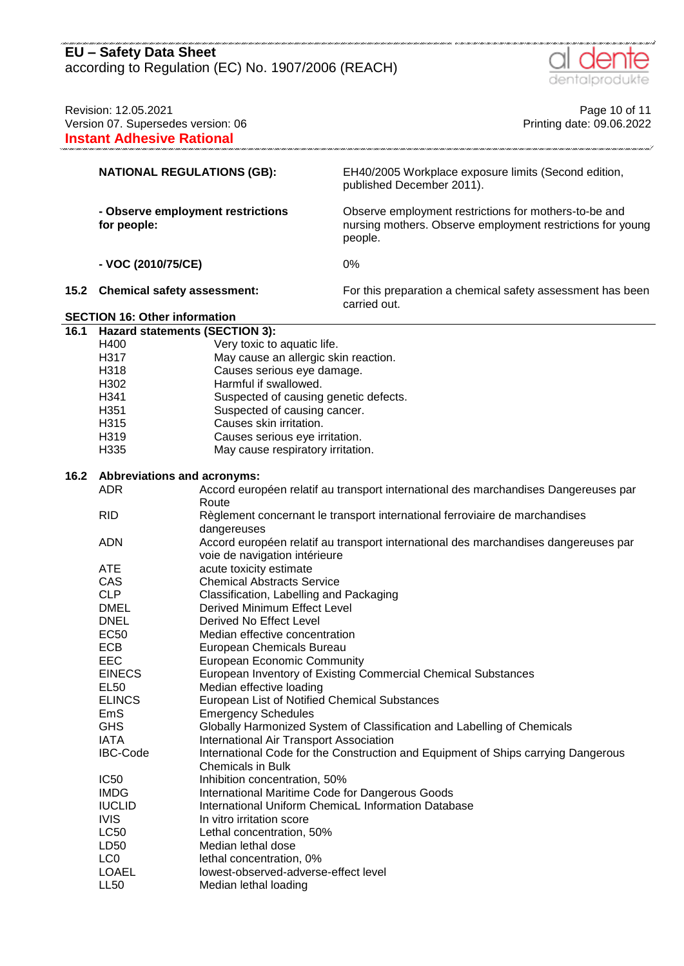

| Revision: 12.05.2021<br>Version 07. Supersedes version: 06 |                                                                                                                                                 |                                                                                                                      | Page 10 of 11                                                                                                                  |  |
|------------------------------------------------------------|-------------------------------------------------------------------------------------------------------------------------------------------------|----------------------------------------------------------------------------------------------------------------------|--------------------------------------------------------------------------------------------------------------------------------|--|
|                                                            |                                                                                                                                                 |                                                                                                                      | Printing date: 09.06.2022                                                                                                      |  |
| <b>Instant Adhesive Rational</b>                           |                                                                                                                                                 |                                                                                                                      |                                                                                                                                |  |
|                                                            | <b>NATIONAL REGULATIONS (GB):</b>                                                                                                               |                                                                                                                      | EH40/2005 Workplace exposure limits (Second edition,<br>published December 2011).                                              |  |
|                                                            | - Observe employment restrictions<br>for people:                                                                                                |                                                                                                                      | Observe employment restrictions for mothers-to-be and<br>nursing mothers. Observe employment restrictions for young<br>people. |  |
|                                                            | - VOC (2010/75/CE)                                                                                                                              |                                                                                                                      | 0%                                                                                                                             |  |
| 15.2                                                       | <b>Chemical safety assessment:</b>                                                                                                              |                                                                                                                      | For this preparation a chemical safety assessment has been<br>carried out.                                                     |  |
| <b>SECTION 16: Other information</b>                       |                                                                                                                                                 |                                                                                                                      |                                                                                                                                |  |
| 16.1<br>Hazard statements (SECTION 3):                     |                                                                                                                                                 |                                                                                                                      |                                                                                                                                |  |
|                                                            | H400                                                                                                                                            | Very toxic to aquatic life.                                                                                          |                                                                                                                                |  |
|                                                            | H317                                                                                                                                            | May cause an allergic skin reaction.                                                                                 |                                                                                                                                |  |
|                                                            | H318<br>Causes serious eye damage.                                                                                                              |                                                                                                                      |                                                                                                                                |  |
|                                                            | Harmful if swallowed.<br>H302                                                                                                                   |                                                                                                                      |                                                                                                                                |  |
|                                                            | H341<br>Suspected of causing genetic defects.                                                                                                   |                                                                                                                      |                                                                                                                                |  |
|                                                            | H <sub>351</sub><br>Suspected of causing cancer.                                                                                                |                                                                                                                      |                                                                                                                                |  |
|                                                            | H315<br>Causes skin irritation.                                                                                                                 |                                                                                                                      |                                                                                                                                |  |
|                                                            | H319                                                                                                                                            | Causes serious eye irritation.                                                                                       |                                                                                                                                |  |
|                                                            | H335                                                                                                                                            | May cause respiratory irritation.                                                                                    |                                                                                                                                |  |
|                                                            |                                                                                                                                                 |                                                                                                                      |                                                                                                                                |  |
| 16.2                                                       | <b>Abbreviations and acronyms:</b>                                                                                                              |                                                                                                                      |                                                                                                                                |  |
|                                                            | <b>ADR</b>                                                                                                                                      | Accord européen relatif au transport international des marchandises Dangereuses par                                  |                                                                                                                                |  |
|                                                            |                                                                                                                                                 | Route                                                                                                                |                                                                                                                                |  |
|                                                            | <b>RID</b>                                                                                                                                      |                                                                                                                      | Règlement concernant le transport international ferroviaire de marchandises                                                    |  |
|                                                            |                                                                                                                                                 | dangereuses                                                                                                          |                                                                                                                                |  |
|                                                            | <b>ADN</b>                                                                                                                                      | Accord européen relatif au transport international des marchandises dangereuses par<br>voie de navigation intérieure |                                                                                                                                |  |
|                                                            | <b>ATE</b>                                                                                                                                      |                                                                                                                      |                                                                                                                                |  |
|                                                            | CAS                                                                                                                                             | acute toxicity estimate<br><b>Chemical Abstracts Service</b>                                                         |                                                                                                                                |  |
|                                                            | <b>CLP</b>                                                                                                                                      |                                                                                                                      |                                                                                                                                |  |
|                                                            | <b>DMEL</b>                                                                                                                                     | Classification, Labelling and Packaging<br>Derived Minimum Effect Level                                              |                                                                                                                                |  |
|                                                            |                                                                                                                                                 | Derived No Effect Level                                                                                              |                                                                                                                                |  |
|                                                            | <b>DNEL</b><br>Median effective concentration                                                                                                   |                                                                                                                      |                                                                                                                                |  |
|                                                            | <b>EC50</b>                                                                                                                                     |                                                                                                                      |                                                                                                                                |  |
|                                                            | <b>ECB</b><br>European Chemicals Bureau                                                                                                         |                                                                                                                      |                                                                                                                                |  |
|                                                            | <b>EEC</b><br><b>European Economic Community</b>                                                                                                |                                                                                                                      |                                                                                                                                |  |
|                                                            | <b>EINECS</b><br>European Inventory of Existing Commercial Chemical Substances                                                                  |                                                                                                                      |                                                                                                                                |  |
|                                                            | <b>EL50</b><br>Median effective loading<br><b>ELINCS</b>                                                                                        |                                                                                                                      |                                                                                                                                |  |
|                                                            | European List of Notified Chemical Substances<br>EmS<br><b>Emergency Schedules</b>                                                              |                                                                                                                      |                                                                                                                                |  |
|                                                            | <b>GHS</b>                                                                                                                                      |                                                                                                                      | Globally Harmonized System of Classification and Labelling of Chemicals                                                        |  |
|                                                            | <b>IATA</b>                                                                                                                                     |                                                                                                                      |                                                                                                                                |  |
|                                                            | International Air Transport Association<br>International Code for the Construction and Equipment of Ships carrying Dangerous<br><b>IBC-Code</b> |                                                                                                                      |                                                                                                                                |  |
|                                                            |                                                                                                                                                 | <b>Chemicals in Bulk</b>                                                                                             |                                                                                                                                |  |
|                                                            | IC <sub>50</sub><br>Inhibition concentration, 50%                                                                                               |                                                                                                                      |                                                                                                                                |  |
|                                                            | <b>IMDG</b>                                                                                                                                     | International Maritime Code for Dangerous Goods                                                                      |                                                                                                                                |  |
|                                                            | <b>IUCLID</b>                                                                                                                                   |                                                                                                                      |                                                                                                                                |  |
|                                                            | International Uniform ChemicaL Information Database<br><b>IVIS</b><br>In vitro irritation score                                                 |                                                                                                                      |                                                                                                                                |  |
|                                                            |                                                                                                                                                 |                                                                                                                      |                                                                                                                                |  |
|                                                            | <b>LC50</b>                                                                                                                                     | Lethal concentration, 50%                                                                                            |                                                                                                                                |  |
|                                                            | LD <sub>50</sub>                                                                                                                                | Median lethal dose                                                                                                   |                                                                                                                                |  |
|                                                            | LC <sub>0</sub>                                                                                                                                 | lethal concentration, 0%                                                                                             |                                                                                                                                |  |
|                                                            | <b>LOAEL</b>                                                                                                                                    | lowest-observed-adverse-effect level                                                                                 |                                                                                                                                |  |
|                                                            | <b>LL50</b>                                                                                                                                     | Median lethal loading                                                                                                |                                                                                                                                |  |